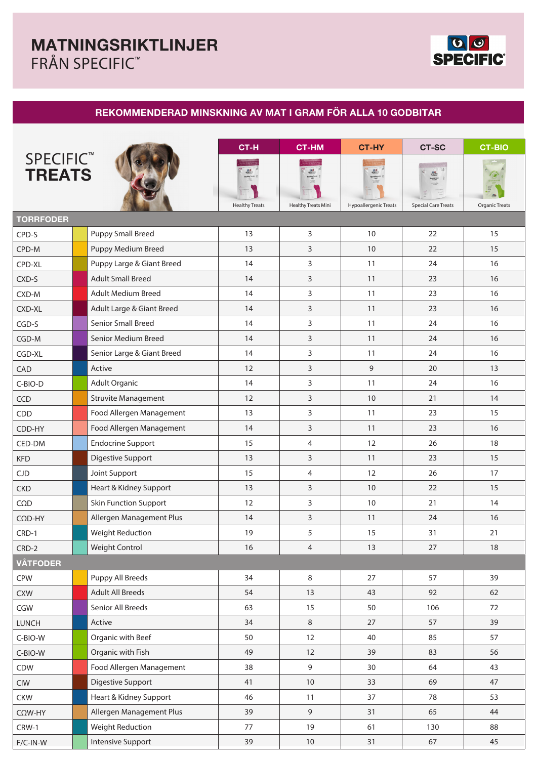

## **REKOMMENDERAD MINSKNING AV MAT I GRAM FÖR ALLA 10 GODBITAR**

|                                        |                              | CT-H                                    | <b>CT-HM</b>                                            | <b>CT-HY</b>                           | <b>CT-SC</b>               | <b>CT-BIO</b>         |
|----------------------------------------|------------------------------|-----------------------------------------|---------------------------------------------------------|----------------------------------------|----------------------------|-----------------------|
| SPECIFIC <sup>™</sup><br><b>TREATS</b> |                              | seems<br>seems<br><b>Healthy Treats</b> | <b>SHELF</b><br>MARY THAT<br><b>Healthy Treats Mini</b> | <b>UNICES</b><br>Hypoallergenic Treats | <b>Special Care Treats</b> | <b>Organic Treats</b> |
| <b>TORRFODER</b>                       |                              |                                         |                                                         |                                        |                            |                       |
| CPD-S                                  | <b>Puppy Small Breed</b>     | 13                                      | 3                                                       | 10                                     | 22                         | 15                    |
| CPD-M                                  | Puppy Medium Breed           | 13                                      | $\mathsf{3}$                                            | 10                                     | 22                         | 15                    |
| CPD-XL                                 | Puppy Large & Giant Breed    | 14                                      | 3                                                       | 11                                     | 24                         | 16                    |
| CXD-S                                  | <b>Adult Small Breed</b>     | 14                                      | 3                                                       | 11                                     | 23                         | 16                    |
| CXD-M                                  | Adult Medium Breed           | 14                                      | 3                                                       | 11                                     | 23                         | 16                    |
| CXD-XL                                 | Adult Large & Giant Breed    | 14                                      | 3                                                       | 11                                     | 23                         | 16                    |
| CGD-S                                  | <b>Senior Small Breed</b>    | 14                                      | 3                                                       | 11                                     | 24                         | 16                    |
| CGD-M                                  | Senior Medium Breed          | 14                                      | 3                                                       | 11                                     | 24                         | 16                    |
| CGD-XL                                 | Senior Large & Giant Breed   | 14                                      | 3                                                       | 11                                     | 24                         | 16                    |
| CAD                                    | Active                       | 12                                      | $\mathsf{3}$                                            | $\mathsf 9$                            | 20                         | 13                    |
| C-BIO-D                                | Adult Organic                | 14                                      | 3                                                       | 11                                     | 24                         | 16                    |
| CCD                                    | <b>Struvite Management</b>   | 12                                      | 3                                                       | 10                                     | 21                         | 14                    |
| CDD                                    | Food Allergen Management     | 13                                      | 3                                                       | 11                                     | 23                         | 15                    |
| CDD-HY                                 | Food Allergen Management     | 14                                      | $\mathsf{3}$                                            | 11                                     | 23                         | 16                    |
| CED-DM                                 | <b>Endocrine Support</b>     | 15                                      | 4                                                       | 12                                     | 26                         | 18                    |
| <b>KFD</b>                             | <b>Digestive Support</b>     | 13                                      | 3                                                       | 11                                     | 23                         | 15                    |
| <b>CJD</b>                             | Joint Support                | 15                                      | $\overline{4}$                                          | 12                                     | 26                         | 17                    |
| <b>CKD</b>                             | Heart & Kidney Support       | 13                                      | 3                                                       | 10                                     | 22                         | 15                    |
| $C\Omega D$                            | <b>Skin Function Support</b> | 12                                      | 3                                                       | 10                                     | 21                         | 14                    |
| $C\Omega D$ -HY                        | Allergen Management Plus     | 14                                      | 3                                                       | 11                                     | 24                         | 16                    |
| CRD-1                                  | <b>Weight Reduction</b>      | 19                                      | 5                                                       | 15                                     | 31                         | 21                    |
| $CRD-2$                                | Weight Control               | 16                                      | $\overline{4}$                                          | 13                                     | 27                         | 18                    |
| <b>VÅTFODER</b>                        |                              |                                         |                                                         |                                        |                            |                       |
| <b>CPW</b>                             | Puppy All Breeds             | 34                                      | 8                                                       | 27                                     | 57                         | 39                    |
| <b>CXW</b>                             | <b>Adult All Breeds</b>      | 54                                      | 13                                                      | 43                                     | 92                         | 62                    |
| CGW                                    | Senior All Breeds            | 63                                      | 15                                                      | 50                                     | 106                        | 72                    |
| <b>LUNCH</b>                           | Active                       | 34                                      | $\,8\,$                                                 | 27                                     | 57                         | 39                    |
| C-BIO-W                                | Organic with Beef            | 50                                      | 12                                                      | 40                                     | 85                         | 57                    |
| C-BIO-W                                | Organic with Fish            | 49                                      | 12                                                      | 39                                     | 83                         | 56                    |
| CDW                                    | Food Allergen Management     | 38                                      | $\mathsf 9$                                             | 30                                     | 64                         | 43                    |
| <b>CIW</b>                             | Digestive Support            | 41                                      | 10                                                      | 33                                     | 69                         | 47                    |
| <b>CKW</b>                             | Heart & Kidney Support       | 46                                      | 11                                                      | 37                                     | 78                         | 53                    |
| $C\Omega W$ -HY                        | Allergen Management Plus     | 39                                      | $\mathsf 9$                                             | 31                                     | 65                         | 44                    |
| CRW-1                                  | Weight Reduction             | 77                                      | 19                                                      | 61                                     | 130                        | 88                    |
| $F/C-IN-W$                             | <b>Intensive Support</b>     | 39                                      | $10\,$                                                  | 31                                     | 67                         | 45                    |